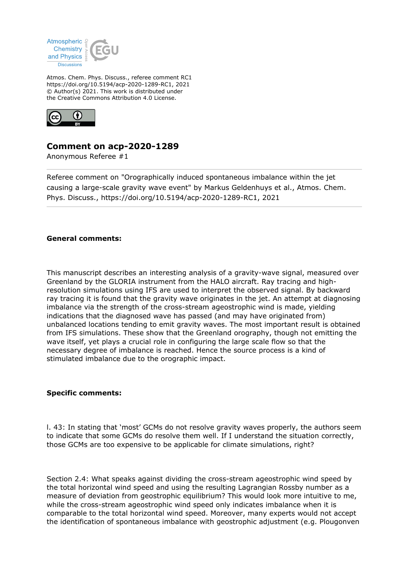

Atmos. Chem. Phys. Discuss., referee comment RC1 https://doi.org/10.5194/acp-2020-1289-RC1, 2021 © Author(s) 2021. This work is distributed under the Creative Commons Attribution 4.0 License.



## **Comment on acp-2020-1289**

Anonymous Referee #1

Referee comment on "Orographically induced spontaneous imbalance within the jet causing a large-scale gravity wave event" by Markus Geldenhuys et al., Atmos. Chem. Phys. Discuss., https://doi.org/10.5194/acp-2020-1289-RC1, 2021

## **General comments:**

This manuscript describes an interesting analysis of a gravity-wave signal, measured over Greenland by the GLORIA instrument from the HALO aircraft. Ray tracing and highresolution simulations using IFS are used to interpret the observed signal. By backward ray tracing it is found that the gravity wave originates in the jet. An attempt at diagnosing imbalance via the strength of the cross-stream ageostrophic wind is made, yielding indications that the diagnosed wave has passed (and may have originated from) unbalanced locations tending to emit gravity waves. The most important result is obtained from IFS simulations. These show that the Greenland orography, though not emitting the wave itself, yet plays a crucial role in configuring the large scale flow so that the necessary degree of imbalance is reached. Hence the source process is a kind of stimulated imbalance due to the orographic impact.

## **Specific comments:**

l. 43: In stating that 'most' GCMs do not resolve gravity waves properly, the authors seem to indicate that some GCMs do resolve them well. If I understand the situation correctly, those GCMs are too expensive to be applicable for climate simulations, right?

Section 2.4: What speaks against dividing the cross-stream ageostrophic wind speed by the total horizontal wind speed and using the resulting Lagrangian Rossby number as a measure of deviation from geostrophic equilibrium? This would look more intuitive to me, while the cross-stream ageostrophic wind speed only indicates imbalance when it is comparable to the total horizontal wind speed. Moreover, many experts would not accept the identification of spontaneous imbalance with geostrophic adjustment (e.g. Plougonven